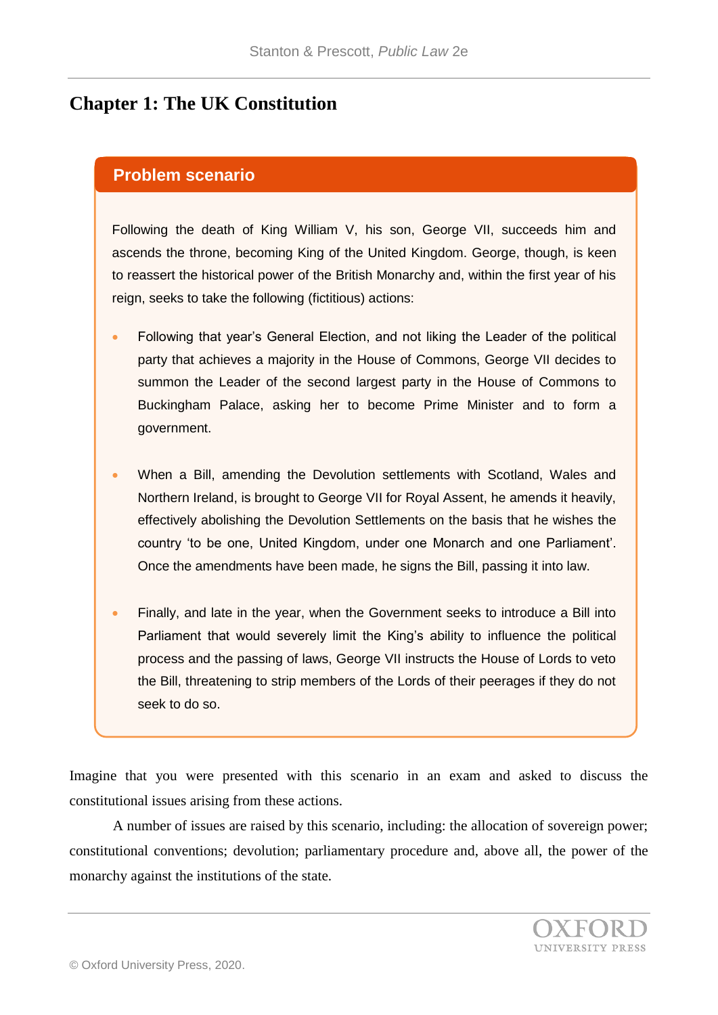## **Chapter 1: The UK Constitution**

## **Problem scenario**

Following the death of King William V, his son, George VII, succeeds him and ascends the throne, becoming King of the United Kingdom. George, though, is keen to reassert the historical power of the British Monarchy and, within the first year of his reign, seeks to take the following (fictitious) actions:

- Following that year's General Election, and not liking the Leader of the political party that achieves a majority in the House of Commons, George VII decides to summon the Leader of the second largest party in the House of Commons to Buckingham Palace, asking her to become Prime Minister and to form a government.
- When a Bill, amending the Devolution settlements with Scotland, Wales and Northern Ireland, is brought to George VII for Royal Assent, he amends it heavily, effectively abolishing the Devolution Settlements on the basis that he wishes the country 'to be one, United Kingdom, under one Monarch and one Parliament'. Once the amendments have been made, he signs the Bill, passing it into law.
- Finally, and late in the year, when the Government seeks to introduce a Bill into Parliament that would severely limit the King's ability to influence the political process and the passing of laws, George VII instructs the House of Lords to veto the Bill, threatening to strip members of the Lords of their peerages if they do not seek to do so.

Imagine that you were presented with this scenario in an exam and asked to discuss the constitutional issues arising from these actions.

A number of issues are raised by this scenario, including: the allocation of sovereign power; constitutional conventions; devolution; parliamentary procedure and, above all, the power of the monarchy against the institutions of the state.